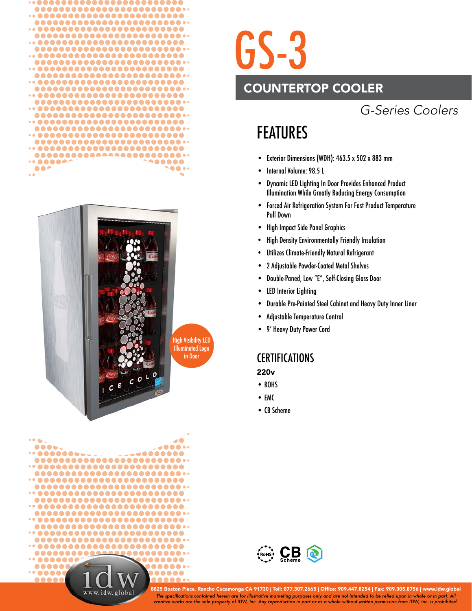



....  $. 0000000$ ........ ........................ ........................ .........................  $\cdots$  ....................... ......................... ......................... ......................... .........................  $\cdots$  ....................... ......................... ........................ .......... .......... ......... ..... ..... ...... 8888

www.idw.glob

## GS-3

### COUNTERTOP COOLER

## *G-Series Coolers*

## FEATURES

- Exterior Dimensions (WDH): 463.5 x 502 x 883 mm
- Internal Volume: 98.5 L
- Dynamic LED Lighting In Door Provides Enhanced Product Illumination While Greatly Reducing Energy Consumption
- Forced Air Refrigeration System For Fast Product Temperature Pull Down
- High Impact Side Panel Graphics
- High Density Environmentally Friendly Insulation
- Utilizes Climate-Friendly Natural Refrigerant
- 2 Adjustable Powder-Coated Metal Shelves
- Double-Paned, Low "E", Self-Closing Glass Door
- LED Interior Lighting
- Durable Pre-Painted Steel Cabinet and Heavy Duty Inner Liner
- Adjustable Temperature Control
- 9' Heavy Duty Power Cord

### **CERTIFICATIONS**

#### 220v

- ROHS
- EMC
- CB Scheme



*The specifi cations contained herein are for illustrative marketing purposes only and are not intended to be relied upon in whole or in part. All creative works are the sole property of IDW, Inc. Any reproduction in part or as a whole without written permission from IDW, Inc. is prohibited.* 8825 Boston Place, Rancho Cucamonga CA 91730 | Toll: 877.307.2665 | Office: 909.447.8254 | Fax: 909.305.8756 | www.idw.global